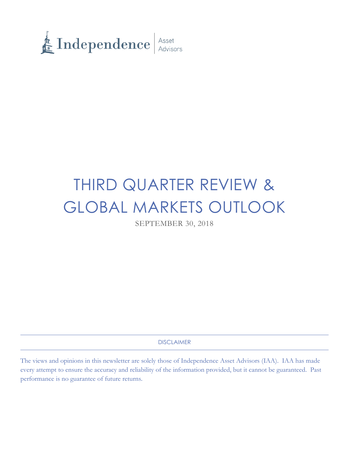

# THIRD QUARTER REVIEW & GLOBAL MARKETS OUTLOOK

SEPTEMBER 30, 2018

DISCLAIMER

The views and opinions in this newsletter are solely those of Independence Asset Advisors (IAA). IAA has made every attempt to ensure the accuracy and reliability of the information provided, but it cannot be guaranteed. Past performance is no guarantee of future returns.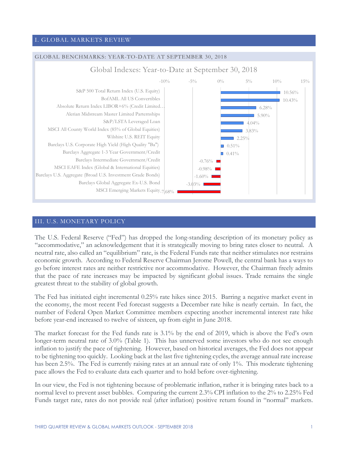# I. GLOBAL MARKETS REVIEW



### III. U.S. MONETARY POLICY

The U.S. Federal Reserve ("Fed") has dropped the long-standing description of its monetary policy as "accommodative," an acknowledgement that it is strategically moving to bring rates closer to neutral. A neutral rate, also called an "equilibrium" rate, is the Federal Funds rate that neither stimulates nor restrains economic growth. According to Federal Reserve Chairman Jerome Powell, the central bank has a ways to go before interest rates are neither restrictive nor accommodative. However, the Chairman freely admits that the pace of rate increases may be impacted by significant global issues. Trade remains the single greatest threat to the stability of global growth.

The Fed has initiated eight incremental 0.25% rate hikes since 2015. Barring a negative market event in the economy, the most recent Fed forecast suggests a December rate hike is nearly certain. In fact, the number of Federal Open Market Committee members expecting another incremental interest rate hike before year-end increased to twelve of sixteen, up from eight in June 2018.

The market forecast for the Fed funds rate is 3.1% by the end of 2019, which is above the Fed's own longer-term neutral rate of 3.0% (Table 1). This has unnerved some investors who do not see enough inflation to justify the pace of tightening. However, based on historical averages, the Fed does not appear to be tightening too quickly. Looking back at the last five tightening cycles, the average annual rate increase has been 2.5%. The Fed is currently raising rates at an annual rate of only 1%. This moderate tightening pace allows the Fed to evaluate data each quarter and to hold before over-tightening.

In our view, the Fed is not tightening because of problematic inflation, rather it is bringing rates back to a normal level to prevent asset bubbles. Comparing the current 2.3% CPI inflation to the 2% to 2.25% Fed Funds target rate, rates do not provide real (after inflation) positive return found in "normal" markets.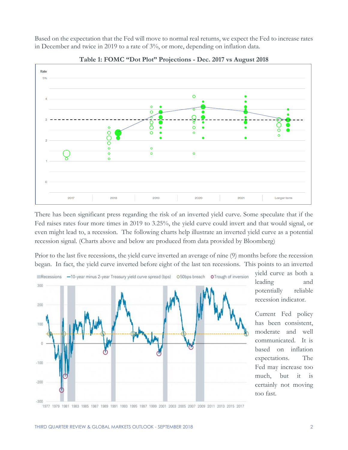Based on the expectation that the Fed will move to normal real returns, we expect the Fed to increase rates in December and twice in 2019 to a rate of 3%, or more, depending on inflation data.





There has been significant press regarding the risk of an inverted yield curve. Some speculate that if the Fed raises rates four more times in 2019 to 3.25%, the yield curve could invert and that would signal, or even might lead to, a recession. The following charts help illustrate an inverted yield curve as a potential recession signal. (Charts above and below are produced from data provided by Bloomberg)

Prior to the last five recessions, the yield curve inverted an average of nine (9) months before the recession began. In fact, the yield curve inverted before eight of the last ten recessions. This points to an inverted



yield curve as both a leading and potentially reliable recession indicator.

Current Fed policy has been consistent, moderate and well communicated. It is based on inflation expectations. The Fed may increase too much, but it is certainly not moving too fast.

<sup>1977 1979 1981 1983 1985 1987 1989 1991 1993 1995 1997 1999 2001 2003 2005 2007 2009 2011 2013 2015 2017</sup>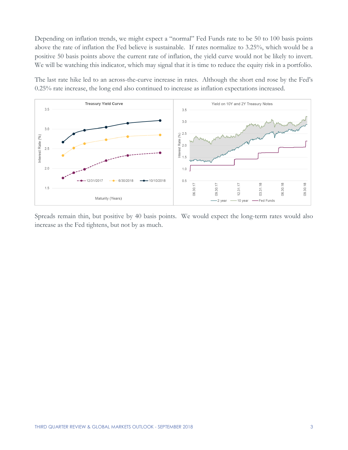Depending on inflation trends, we might expect a "normal" Fed Funds rate to be 50 to 100 basis points above the rate of inflation the Fed believe is sustainable. If rates normalize to 3.25%, which would be a positive 50 basis points above the current rate of inflation, the yield curve would not be likely to invert. We will be watching this indicator, which may signal that it is time to reduce the equity risk in a portfolio.

The last rate hike led to an across-the-curve increase in rates. Although the short end rose by the Fed's 0.25% rate increase, the long end also continued to increase as inflation expectations increased.



Spreads remain thin, but positive by 40 basis points. We would expect the long-term rates would also increase as the Fed tightens, but not by as much.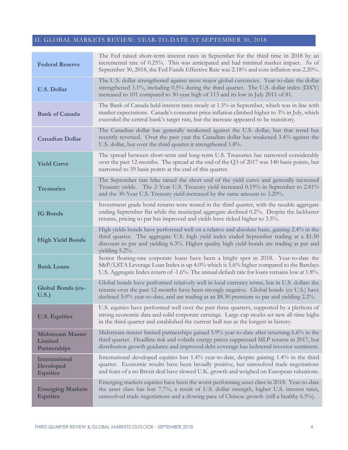# II. GLOBAL MARKETS REVIEW: YEAR-TO-DATE AT SEPTEMBER 30, 2018

| <b>Federal Reserve</b>                               | The Fed raised short-term interest rates in September for the third time in 2018 by an<br>incremental rate of 0.25%. This was anticipated and had minimal market impact. As of<br>September 30, 2018, the Fed Funds Effective Rate was 2.18% and core inflation was 2.20%.                               |
|------------------------------------------------------|----------------------------------------------------------------------------------------------------------------------------------------------------------------------------------------------------------------------------------------------------------------------------------------------------------|
| <b>U.S. Dollar</b>                                   | The U.S. dollar strengthened against most major global currencies. Year-to-date the dollar<br>strengthened 3.1%, including 0.5% during the third quarter. The U.S. dollar index (DXY)<br>increased to 101 compared to 30-year high of 113 and its low in July 2011 of 81.                                |
| <b>Bank of Canada</b>                                | The Bank of Canada held interest rates steady at 1.5% in September, which was in line with<br>market expectations. Canada's consumer price inflation climbed higher to 3% in July, which<br>exceeded the central bank's target rate, but the increase appeared to be transitory.                         |
| <b>Canadian Dollar</b>                               | The Canadian dollar has generally weakened against the U.S. dollar, but that trend has<br>recently reversed. Over the past year the Canadian dollar has weakened 3.4% against the<br>U.S. dollar, but over the third quarter it strengthened 1.8%.                                                       |
| <b>Yield Curve</b>                                   | The spread between short-term and long-term U.S. Treasuries has narrowed considerably<br>over the past 12-months. The spread at the end of the $Q3$ of 2017 was 140 basis points, but<br>narrowed to 39 basis points at the end of this quarter.                                                         |
| <b>Treasuries</b>                                    | The September rate hike raised the short end of the yield curve and generally increased<br>Treasury yields. The 2-Year U.S. Treasury yield increased 0.19% in September to 2.81%<br>and the 30-Year U.S. Treasury yield increased by the same amount to 3.20%.                                           |
| <b>IG Bonds</b>                                      | Investment grade bond returns were muted in the third quarter, with the taxable aggregate<br>ending September flat while the municipal aggregate declined 0.2%. Despite the lackluster<br>returns, pricing to par has improved and yields have ticked higher to 3.5%.                                    |
| <b>High Yield Bonds</b>                              | High yields bonds have performed well on a relative and absolute basis, gaining 2.4% in the<br>third quarter. The aggregate U.S. high yield index ended September trading at a \$1.50<br>discount to par and yielding 6.3%. Higher quality high yield bonds are trading at par and<br>yielding $5.2\%$ . |
| <b>Bank Loans</b>                                    | Senior floating-rate corporate loans have been a bright spot in 2018. Year-to-date the<br>S&P/LSTA Leverage Loan Index is up 4.0% which is 5.6% higher compared to the Barclays<br>U.S. Aggregate Index return of -1.6%. The annual default rate for loans remains low at 1.8%.                          |
| <b>Global Bonds (ex-</b><br>U.S.                     | Global bonds have performed relatively well in local currency terms, but in U.S. dollars the<br>returns over the past 12-months have been strongly negative. Global bonds (ex U.S.) have<br>declined 3.0% year-to-date, and are trading at an \$8.30 premium to par and yielding 2.2%.                   |
| <b>U.S. Equities</b>                                 | U.S. equities have performed well over the past three quarters, supported by a plethora of<br>strong economic data and solid corporate earnings. Large-cap stocks set new all-time highs<br>in the third quarter and established the current bull run as the longest in history.                         |
| <b>Midstream Master</b><br>Limited<br>Partnerships   | Midstream master limited partnerships gained $5.9\%$ year-to-date after returning 6.6% in the<br>third quarter. Headline risk and volatile energy prices suppressed MLP returns in 2017, but<br>distribution growth guidance and improved debt coverage has bolstered investor sentiment.                |
| International<br><b>Developed</b><br><b>Equities</b> | International developed equities lost 1.4% year-to-date, despite gaining 1.4% in the third<br>quarter. Economic results have been broadly positive, but unresolved trade negotiations<br>and fears of a no Brexit deal have slowed U.K. growth and weighed on European valuations.                       |
| <b>Emerging Markets</b><br><b>Equities</b>           | Emerging markets equities have been the worst performing asset class in 2018. Year-to-date<br>the asset class has lost 7.7%, a result of U.S. dollar strength, higher U.S. interest rates,<br>unresolved trade negotiations and a slowing pace of Chinese growth (still a healthy 6.5%).                 |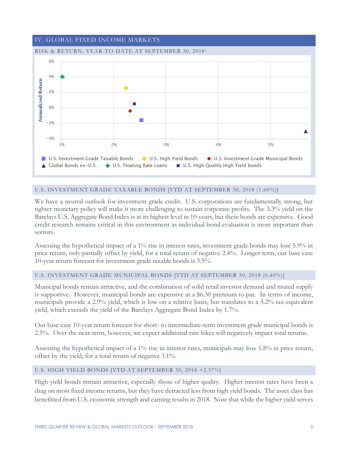

### U.S. INVESTMENT GRADE TAXABLE BONDS [YTD AT SEPTEMBER 30, 2018 (1.60%)]

We have a neutral outlook for investment grade credit. U.S. corporations are fundamentally strong, but tighter monetary policy will make it more challenging to sustain corporate profits. The 3.3% yield on the Barclays U.S. Aggregate Bond Index is at its highest level in 10-years, but these bonds are expensive. Good credit research remains critical in this environment as individual bond evaluation is more important than sectors.

Assessing the hypothetical impact of a 1% rise in interest rates, investment grade bonds may lose 5.9% in price return, only partially offset by yield, for a total return of negative 2.4%. Longer-term, our base case 10-year return forecast for investment grade taxable bonds is 3.5%.

### U.S. INVESTMENT GRADE MUNICIPAL BONDS [YTD AT SEPTEMBER 30, 2018 (0.40%)]

Municipal bonds remain attractive, and the combination of solid retail investor demand and muted supply is supportive. However, municipal bonds are expensive at a \$6.30 premium to par. In terms of income, municipals provide a 2.9% yield, which is low on a relative basis, but translates to a 5.2% tax-equivalent yield, which exceeds the yield of the Barclays Aggregate Bond Index by 1.7%.

Our base case 10-year return forecast for short- to intermediate-term investment grade municipal bonds is 2.5%. Over the near-term, however, we expect additional rate hikes will negatively impact total returns.

Assessing the hypothetical impact of a 1% rise in interest rates, municipals may lose 5.8% in price return, offset by the yield, for a total return of negative 3.1%.

#### U.S. HIGH YIELD BONDS [YTD AT SEPTEMBER 30, 2018 +2.57%]

High yield bonds remain attractive, especially those of higher quality. Higher interest rates have been a drag on most fixed income returns, but they have detracted less from high yield bonds. The asset class has benefitted from U.S. economic strength and earning results in 2018. Note that while the higher yield serves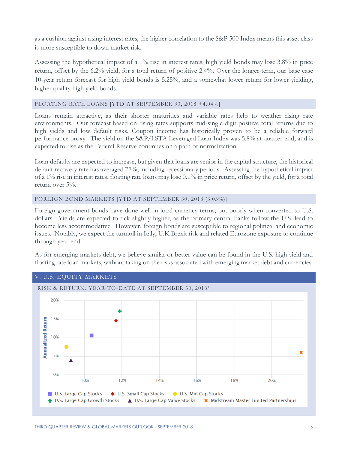as a cushion against rising interest rates, the higher correlation to the S&P 500 Index means this asset class is more susceptible to down market risk.

Assessing the hypothetical impact of a 1% rise in interest rates, high yield bonds may lose 3.8% in price return, offset by the 6.2% yield, for a total return of positive 2.4%. Over the longer-term, our base case 10-year return forecast for high yield bonds is 5.25%, and a somewhat lower return for lower yielding, higher quality high yield bonds.

# FLOATING RATE LOANS [YTD AT SEPTEMBER 30, 2018 +4.04%]

Loans remain attractive, as their shorter maturities and variable rates help to weather rising rate environments. Our forecast based on rising rates supports mid-single-digit positive total returns due to high yields and low default risks. Coupon income has historically proven to be a reliable forward performance proxy. The yield on the S&P/LSTA Leveraged Loan Index was 5.8% at quarter-end, and is expected to rise as the Federal Reserve continues on a path of normalization.

Loan defaults are expected to increase, but given that loans are senior in the capital structure, the historical default recovery rate has averaged 77%, including recessionary periods. Assessing the hypothetical impact of a 1% rise in interest rates, floating rate loans may lose 0.1% in price return, offset by the yield, for a total return over 5%.

### FOREIGN BOND MARKETS [YTD AT SEPTEMBER 30, 2018 (3.03%)]

Foreign government bonds have done well in local currency terms, but poorly when converted to U.S. dollars. Yields are expected to tick slightly higher, as the primary central banks follow the U.S. lead to become less accommodative. However, foreign bonds are susceptible to regional political and economic issues. Notably, we expect the turmoil in Italy, U.K Brexit risk and related Eurozone exposure to continue through year-end.

As for emerging markets debt, we believe similar or better value can be found in the U.S. high yield and floating rate loan markets, without taking on the risks associated with emerging market debt and currencies.

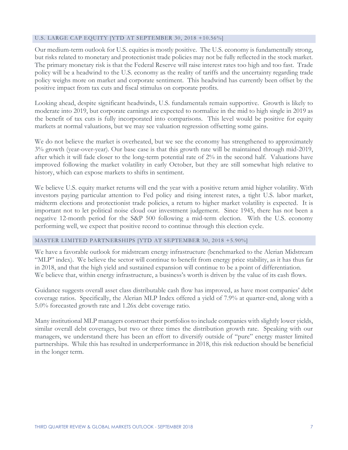#### U.S. LARGE CAP EQUITY [YTD AT SEPTEMBER 30, 2018 +10.56%]

Our medium-term outlook for U.S. equities is mostly positive. The U.S. economy is fundamentally strong, but risks related to monetary and protectionist trade policies may not be fully reflected in the stock market. The primary monetary risk is that the Federal Reserve will raise interest rates too high and too fast. Trade policy will be a headwind to the U.S. economy as the reality of tariffs and the uncertainty regarding trade policy weighs more on market and corporate sentiment. This headwind has currently been offset by the positive impact from tax cuts and fiscal stimulus on corporate profits.

Looking ahead, despite significant headwinds, U.S. fundamentals remain supportive. Growth is likely to moderate into 2019, but corporate earnings are expected to normalize in the mid to high single in 2019 as the benefit of tax cuts is fully incorporated into comparisons. This level would be positive for equity markets at normal valuations, but we may see valuation regression offsetting some gains.

We do not believe the market is overheated, but we see the economy has strengthened to approximately 3% growth (year-over-year). Our base case is that this growth rate will be maintained through mid-2019, after which it will fade closer to the long-term potential rate of 2% in the second half. Valuations have improved following the market volatility in early October, but they are still somewhat high relative to history, which can expose markets to shifts in sentiment.

We believe U.S. equity market returns will end the year with a positive return amid higher volatility. With investors paying particular attention to Fed policy and rising interest rates, a tight U.S. labor market, midterm elections and protectionist trade policies, a return to higher market volatility is expected. It is important not to let political noise cloud our investment judgement. Since 1945, there has not been a negative 12-month period for the S&P 500 following a mid-term election. With the U.S. economy performing well, we expect that positive record to continue through this election cycle.

#### MASTER LIMITED PARTNERSHIPS [YTD AT SEPTEMBER 30, 2018 +5.90%]

We have a favorable outlook for midstream energy infrastructure (benchmarked to the Alerian Midstream "MLP" index). We believe the sector will continue to benefit from energy price stability, as it has thus far in 2018, and that the high yield and sustained expansion will continue to be a point of differentiation. We believe that, within energy infrastructure, a business's worth is driven by the value of its cash flows.

Guidance suggests overall asset class distributable cash flow has improved, as have most companies' debt coverage ratios. Specifically, the Alerian MLP Index offered a yield of 7.9% at quarter-end, along with a 5.0% forecasted growth rate and 1.26x debt coverage ratio.

Many institutional MLP managers construct their portfolios to include companies with slightly lower yields, similar overall debt coverages, but two or three times the distribution growth rate. Speaking with our managers, we understand there has been an effort to diversify outside of "pure" energy master limited partnerships. While this has resulted in underperformance in 2018, this risk reduction should be beneficial in the longer term.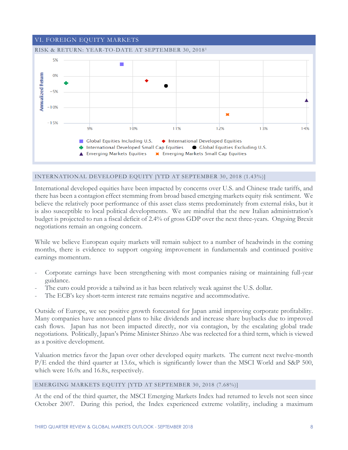

# INTERNATIONAL DEVELOPED EQUITY [YTD AT SEPTEMBER 30, 2018 (1.43%)]

International developed equities have been impacted by concerns over U.S. and Chinese trade tariffs, and there has been a contagion effect stemming from broad based emerging markets equity risk sentiment. We believe the relatively poor performance of this asset class stems predominately from external risks, but it is also susceptible to local political developments. We are mindful that the new Italian administration's budget is projected to run a fiscal deficit of 2.4% of gross GDP over the next three-years. Ongoing Brexit negotiations remain an ongoing concern.

While we believe European equity markets will remain subject to a number of headwinds in the coming months, there is evidence to support ongoing improvement in fundamentals and continued positive earnings momentum.

- Corporate earnings have been strengthening with most companies raising or maintaining full-year guidance.
- The euro could provide a tailwind as it has been relatively weak against the U.S. dollar.
- The ECB's key short-term interest rate remains negative and accommodative.

Outside of Europe, we see positive growth forecasted for Japan amid improving corporate profitability. Many companies have announced plans to hike dividends and increase share buybacks due to improved cash flows. Japan has not been impacted directly, nor via contagion, by the escalating global trade negotiations. Politically, Japan's Prime Minister Shinzo Abe was reelected for a third term, which is viewed as a positive development.

Valuation metrics favor the Japan over other developed equity markets. The current next twelve-month P/E ended the third quarter at 13.6x, which is significantly lower than the MSCI World and S&P 500, which were 16.0x and 16.8x, respectively.

#### EMERGING MARKETS EQUITY [YTD AT SEPTEMBER 30, 2018 (7.68%)]

At the end of the third quarter, the MSCI Emerging Markets Index had returned to levels not seen since October 2007. During this period, the Index experienced extreme volatility, including a maximum